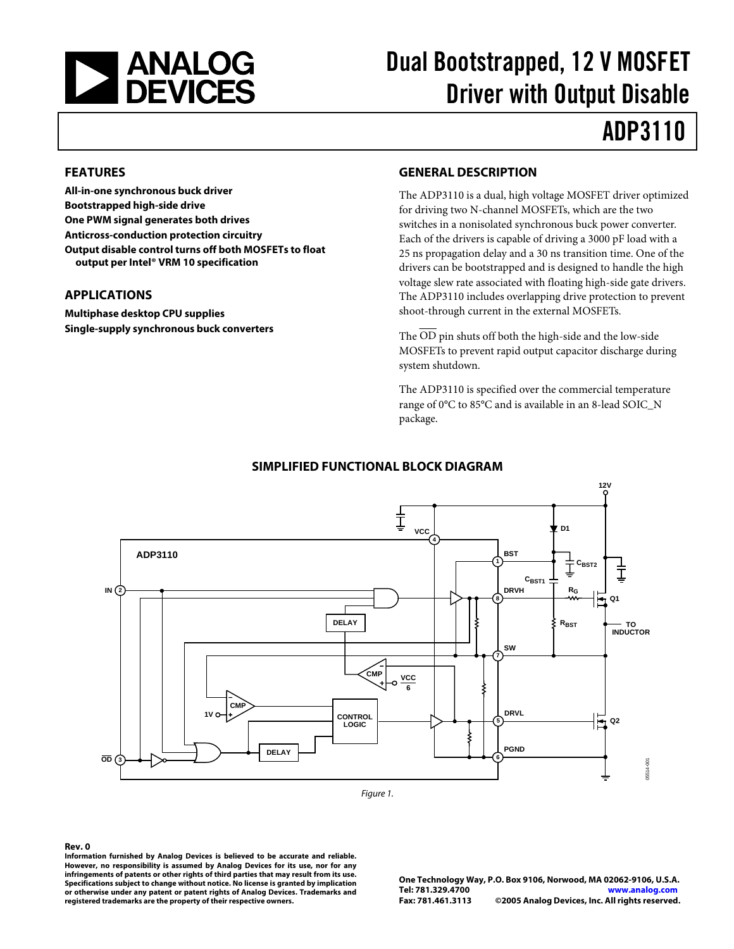

# Dual Bootstrapped, 12 V MOSFET Driver with Output Disable

# ADP3110

### **FEATURES**

**All-in-one synchronous buck driver Bootstrapped high-side drive One PWM signal generates both drives Anticross-conduction protection circuitry Output disable control turns off both MOSFETs to float output per Intel® VRM 10 specification** 

### **APPLICATIONS**

**Multiphase desktop CPU supplies Single-supply synchronous buck converters** 

### **GENERAL DESCRIPTION**

The ADP3110 is a dual, high voltage MOSFET driver optimized for driving two N-channel MOSFETs, which are the two switches in a nonisolated synchronous buck power converter. Each of the drivers is capable of driving a 3000 pF load with a 25 ns propagation delay and a 30 ns transition time. One of the drivers can be bootstrapped and is designed to handle the high voltage slew rate associated with floating high-side gate drivers. The ADP3110 includes overlapping drive protection to prevent shoot-through current in the external MOSFETs.

The  $\overline{OD}$  pin shuts off both the high-side and the low-side MOSFETs to prevent rapid output capacitor discharge during system shutdown.

The ADP3110 is specified over the commercial temperature range of 0°C to 85°C and is available in an 8-lead SOIC\_N package.



### **SIMPLIFIED FUNCTIONAL BLOCK DIAGRAM**

#### <span id="page-0-0"></span>**Rev. 0**

**Information furnished by Analog Devices is believed to be accurate and reliable. However, no responsibility is assumed by Analog Devices for its use, nor for any infringements of patents or other rights of third parties that may result from its use. Specifications subject to change without notice. No license is granted by implication or otherwise under any patent or patent rights of Analog Devices. Trademarks and registered trademarks are the property of their respective owners.**

**One Technology Way, P.O. Box 9106, Norwood, MA 02062-9106, U.S.A. Tel: 781.329.4700**<br>**Eax: 781.461.3113 Fax: 781.461.3113 ©2005 Analog Devices, Inc. All rights reserved.**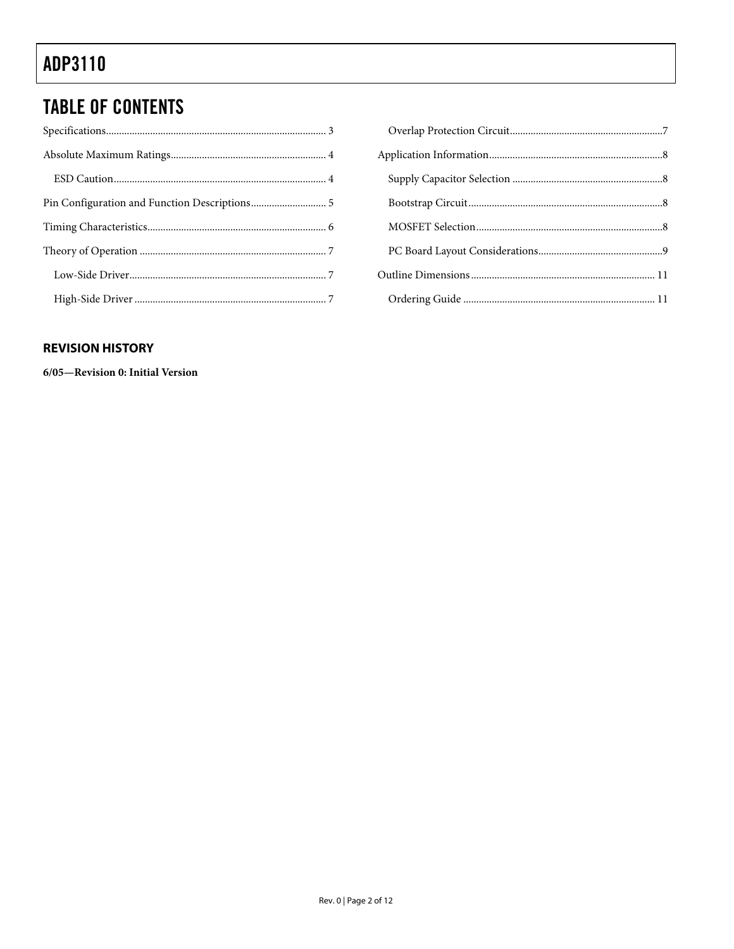### **TABLE OF CONTENTS**

### **REVISION HISTORY**

6/05-Revision 0: Initial Version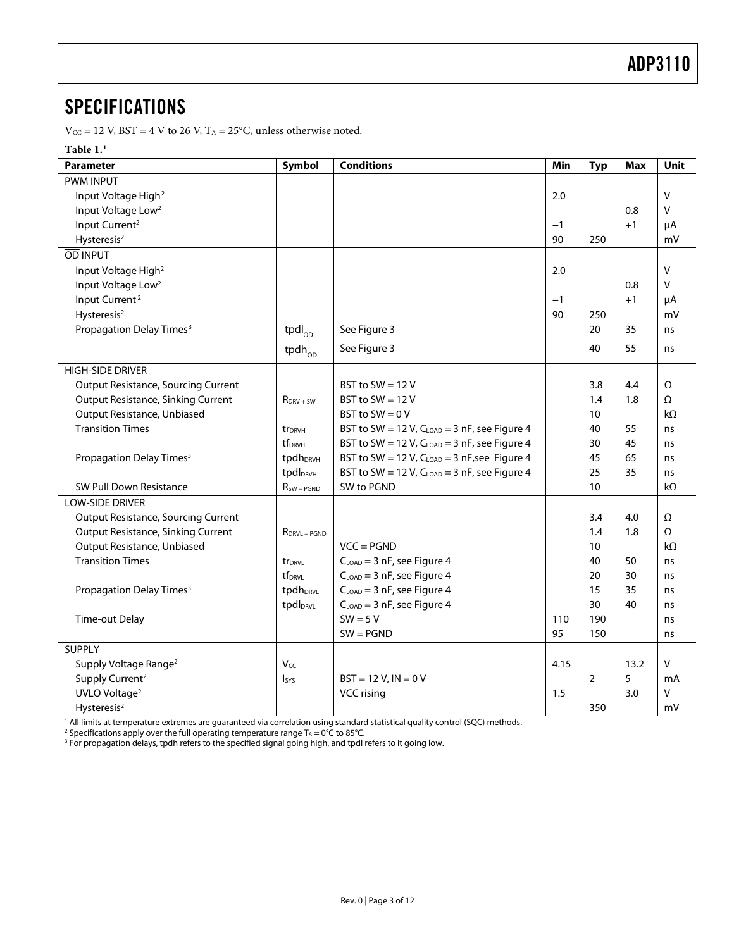### <span id="page-2-0"></span>SPECIFICATIONS

 $\rm V_{\rm CC}$  = 12 V, BST = 4 V to 26 V, T $\rm_A$  = 25°C, unless otherwise noted.

#### $\mathbf{Table} \mathbf{1.}^1$  $\mathbf{Table} \mathbf{1.}^1$  $\mathbf{Table} \mathbf{1.}^1$

<span id="page-2-2"></span><span id="page-2-1"></span>

| <b>Parameter</b>                           | <b>Symbol</b>                    | <b>Conditions</b>                                 | Min  | <b>Typ</b> | <b>Max</b> | <b>Unit</b> |
|--------------------------------------------|----------------------------------|---------------------------------------------------|------|------------|------------|-------------|
| <b>PWM INPUT</b>                           |                                  |                                                   |      |            |            |             |
| Input Voltage High <sup>2</sup>            |                                  |                                                   | 2.0  |            |            | V           |
| Input Voltage Low <sup>2</sup>             |                                  |                                                   |      |            | 0.8        | $\vee$      |
| Input Current <sup>2</sup>                 |                                  |                                                   | $-1$ |            | $+1$       | μA          |
| Hysteresis <sup>2</sup>                    |                                  |                                                   | 90   | 250        |            | mV          |
| OD INPUT                                   |                                  |                                                   |      |            |            |             |
| Input Voltage High <sup>2</sup>            |                                  |                                                   | 2.0  |            |            | V           |
| Input Voltage Low <sup>2</sup>             |                                  |                                                   |      |            | 0.8        | V           |
| Input Current <sup>2</sup>                 |                                  |                                                   | $-1$ |            | $+1$       | μA          |
| Hysteresis <sup>2</sup>                    |                                  |                                                   | 90   | 250        |            | mV          |
| Propagation Delay Times <sup>3</sup>       | tpdl $_{\overline{\mathrm{OD}}}$ | See Figure 3                                      |      | 20         | 35         | ns          |
|                                            | tpdh $_{\overline{\mathrm{OD}}}$ | See Figure 3                                      |      | 40         | 55         | ns          |
| <b>HIGH-SIDE DRIVER</b>                    |                                  |                                                   |      |            |            |             |
| <b>Output Resistance, Sourcing Current</b> |                                  | BST to SW = $12V$                                 |      | 3.8        | 4.4        | Ω           |
| <b>Output Resistance, Sinking Current</b>  | $R_{DRV + SW}$                   | BST to SW = $12V$                                 |      | 1.4        | 1.8        | $\Omega$    |
| Output Resistance, Unbiased                |                                  | BST to $SW = 0 V$                                 |      | 10         |            | $k\Omega$   |
| <b>Transition Times</b>                    | tr <sub>DRVH</sub>               | BST to SW = 12 V, $C_{LOAD}$ = 3 nF, see Figure 4 |      | 40         | 55         | ns          |
|                                            | tf <sub>DRVH</sub>               | BST to SW = 12 V, CLOAD = 3 nF, see Figure 4      |      | 30         | 45         | ns          |
| Propagation Delay Times <sup>3</sup>       | tpdh <sub>DRVH</sub>             | BST to SW = 12 V, $C_{LOAD}$ = 3 nF, see Figure 4 |      | 45         | 65         | ns          |
|                                            | tpdl <sub>DRVH</sub>             | BST to SW = 12 V, CLOAD = 3 nF, see Figure 4      |      | 25         | 35         | ns          |
| SW Pull Down Resistance                    | $R_{SW-PGND}$                    | SW to PGND                                        |      | 10         |            | $k\Omega$   |
| <b>LOW-SIDE DRIVER</b>                     |                                  |                                                   |      |            |            |             |
| <b>Output Resistance, Sourcing Current</b> |                                  |                                                   |      | 3.4        | 4.0        | Ω           |
| <b>Output Resistance, Sinking Current</b>  | $R_{DRVL-PGND}$                  |                                                   |      | 1.4        | 1.8        | $\Omega$    |
| Output Resistance, Unbiased                |                                  | $VCC = PGND$                                      |      | 10         |            | $k\Omega$   |
| <b>Transition Times</b>                    | tr <sub>DRVL</sub>               | $CLOAD = 3 nF$ , see Figure 4                     |      | 40         | 50         | ns          |
|                                            | tf <sub>DRVL</sub>               | $C_{\text{LOAD}} = 3$ nF, see Figure 4            |      | 20         | 30         | ns          |
| Propagation Delay Times <sup>3</sup>       | tpdh <sub>DRVL</sub>             | $CLOAD = 3 nF$ , see Figure 4                     |      | 15         | 35         | ns          |
|                                            | tpdl <sub>DRVL</sub>             | $CLOAD$ = 3 nF, see Figure 4                      |      | 30         | 40         | ns          |
| Time-out Delay                             |                                  | $SW = 5V$                                         | 110  | 190        |            | ns          |
|                                            |                                  | $SW = PGND$                                       | 95   | 150        |            | ns          |
| <b>SUPPLY</b>                              |                                  |                                                   |      |            |            |             |
| Supply Voltage Range <sup>2</sup>          | $V_{CC}$                         |                                                   | 4.15 |            | 13.2       | V           |
| Supply Current <sup>2</sup>                | <b>I</b> sys                     | $BST = 12 V$ , $IN = 0 V$                         |      | 2          | 5          | mA          |
| UVLO Voltage <sup>2</sup>                  |                                  | <b>VCC</b> rising                                 | 1.5  |            | 3.0        | V           |
| Hysteresis <sup>2</sup>                    |                                  |                                                   |      | 350        |            | mV          |

<sup>1</sup> All limits at temperature extremes are guaranteed via correlation using standard statistical quality control (SQC) methods.<br><sup>2</sup> Specifications apply over the full operating temperature range L – 0°C to 85°C.

<sup>2</sup> Specifications apply over the full operating temperature range Tд = 0℃ to 85℃.<br><sup>3</sup> For propagation delays, tpdh refers to the specified signal going high, and tpdl refers to it going low.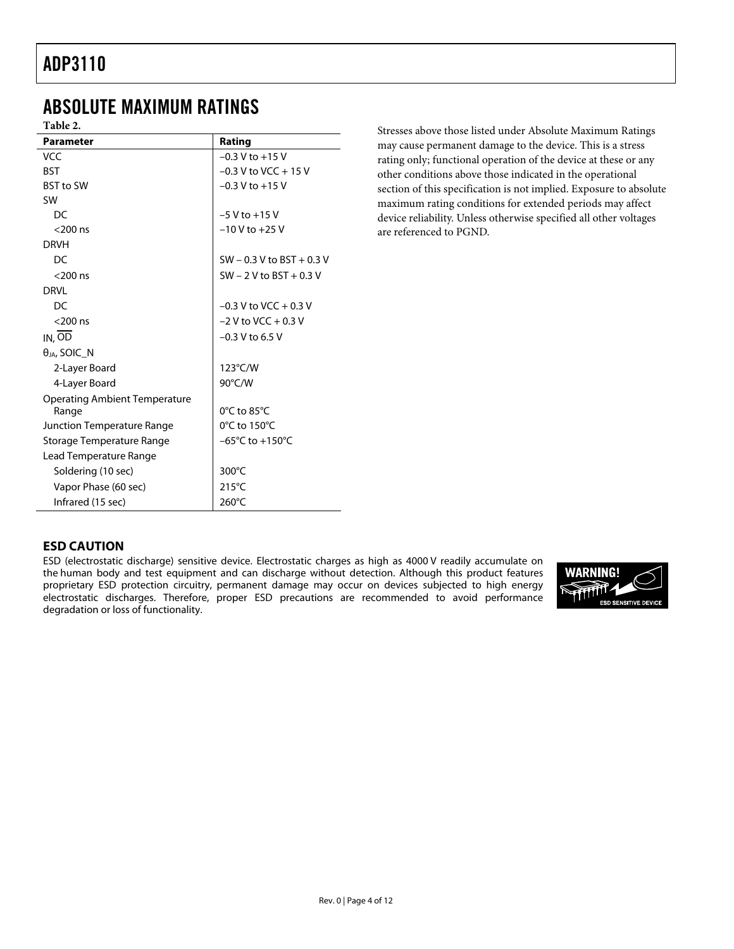### <span id="page-3-0"></span>ABSOLUTE MAXIMUM RATINGS

**Table 2.** 

| <b>Parameter</b>                     | Rating                              |
|--------------------------------------|-------------------------------------|
| <b>VCC</b>                           | $-0.3$ V to $+15$ V                 |
| <b>BST</b>                           | $-0.3$ V to VCC $+15$ V             |
| <b>BST to SW</b>                     | $-0.3$ V to $+15$ V                 |
| <b>SW</b>                            |                                     |
| DC                                   | $-5$ V to $+15$ V                   |
| $<$ 200 ns                           | $-10$ V to $+25$ V                  |
| <b>DRVH</b>                          |                                     |
| DC                                   | $SW - 0.3 V$ to BST + 0.3 V         |
| $<$ 200 ns                           | $SW - 2 V$ to BST + 0.3 V           |
| <b>DRVI</b>                          |                                     |
| DC                                   | $-0.3$ V to VCC $+0.3$ V            |
| $<$ 200 ns                           | $-2$ V to VCC + 0.3 V               |
| $IN, \overline{OD}$                  | $-0.3$ V to 6.5 V                   |
| $\theta$ JA, SOIC_N                  |                                     |
| 2-Layer Board                        | 123°C/W                             |
| 4-Layer Board                        | 90°C/W                              |
| <b>Operating Ambient Temperature</b> |                                     |
| Range                                | $0^{\circ}$ C to 85 $^{\circ}$ C    |
| Junction Temperature Range           | 0°C to 150°C                        |
| Storage Temperature Range            | $-65^{\circ}$ C to $+150^{\circ}$ C |
| Lead Temperature Range               |                                     |
| Soldering (10 sec)                   | 300°C                               |
| Vapor Phase (60 sec)                 | $215^{\circ}$ C                     |
| Infrared (15 sec)                    | 260°C                               |

Stresses above those listed under Absolute Maximum Ratings may cause permanent damage to the device. This is a stress rating only; functional operation of the device at these or any other conditions above those indicated in the operational section of this specification is not implied. Exposure to absolute maximum rating conditions for extended periods may affect device reliability. Unless otherwise specified all other voltages are referenced to PGND.

### **ESD CAUTION**

ESD (electrostatic discharge) sensitive device. Electrostatic charges as high as 4000 V readily accumulate on the human body and test equipment and can discharge without detection. Although this product features proprietary ESD protection circuitry, permanent damage may occur on devices subjected to high energy electrostatic discharges. Therefore, proper ESD precautions are recommended to avoid performance degradation or loss of functionality.

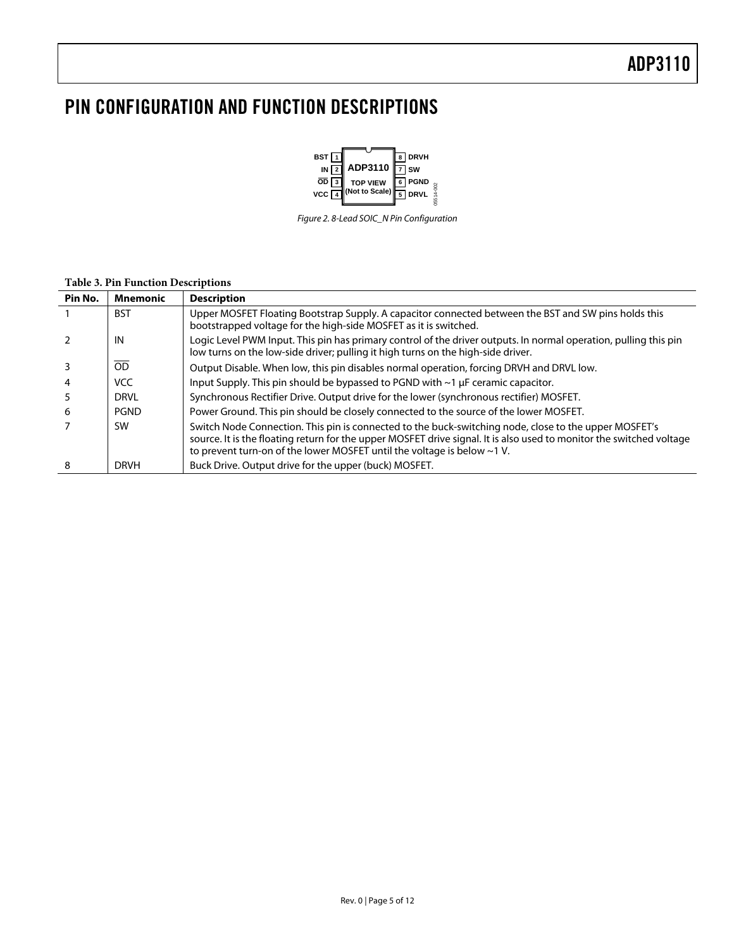### <span id="page-4-0"></span>PIN CONFIGURATION AND FUNCTION DESCRIPTIONS



Figure 2. 8-Lead SOIC\_N Pin Configuration

#### **Table 3. Pin Function Descriptions**

| Pin No. | <b>Mnemonic</b> | <b>Description</b>                                                                                                                                                                                                                                                                                             |
|---------|-----------------|----------------------------------------------------------------------------------------------------------------------------------------------------------------------------------------------------------------------------------------------------------------------------------------------------------------|
|         | <b>BST</b>      | Upper MOSFET Floating Bootstrap Supply. A capacitor connected between the BST and SW pins holds this<br>bootstrapped voltage for the high-side MOSFET as it is switched.                                                                                                                                       |
|         | IN              | Logic Level PWM Input. This pin has primary control of the driver outputs. In normal operation, pulling this pin<br>low turns on the low-side driver; pulling it high turns on the high-side driver.                                                                                                           |
|         | OD              | Output Disable. When low, this pin disables normal operation, forcing DRVH and DRVL low.                                                                                                                                                                                                                       |
|         | <b>VCC</b>      | Input Supply. This pin should be bypassed to PGND with ~1 µF ceramic capacitor.                                                                                                                                                                                                                                |
|         | <b>DRVL</b>     | Synchronous Rectifier Drive. Output drive for the lower (synchronous rectifier) MOSFET.                                                                                                                                                                                                                        |
| 6       | <b>PGND</b>     | Power Ground. This pin should be closely connected to the source of the lower MOSFET.                                                                                                                                                                                                                          |
|         | <b>SW</b>       | Switch Node Connection. This pin is connected to the buck-switching node, close to the upper MOSFET's<br>source. It is the floating return for the upper MOSFET drive signal. It is also used to monitor the switched voltage<br>to prevent turn-on of the lower MOSFET until the voltage is below $\sim$ 1 V. |
| 8       | <b>DRVH</b>     | Buck Drive. Output drive for the upper (buck) MOSFET.                                                                                                                                                                                                                                                          |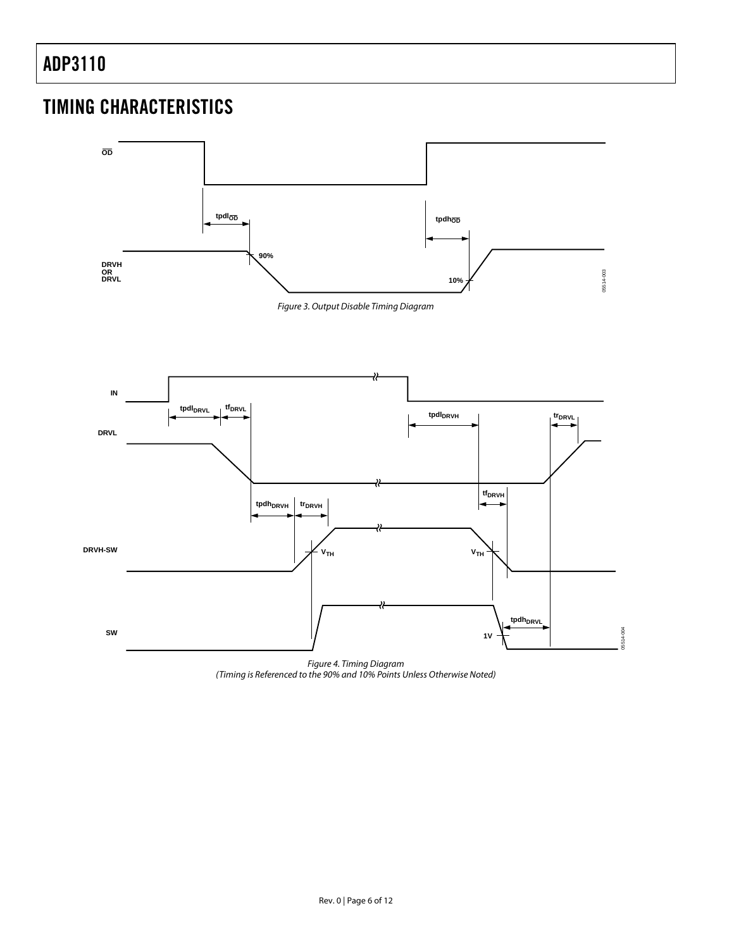### <span id="page-5-0"></span>TIMING CHARACTERISTICS

<span id="page-5-1"></span>

<span id="page-5-2"></span>Figure 4. Timing Diagram (Timing is Referenced to the 90% and 10% Points Unless Otherwise Noted)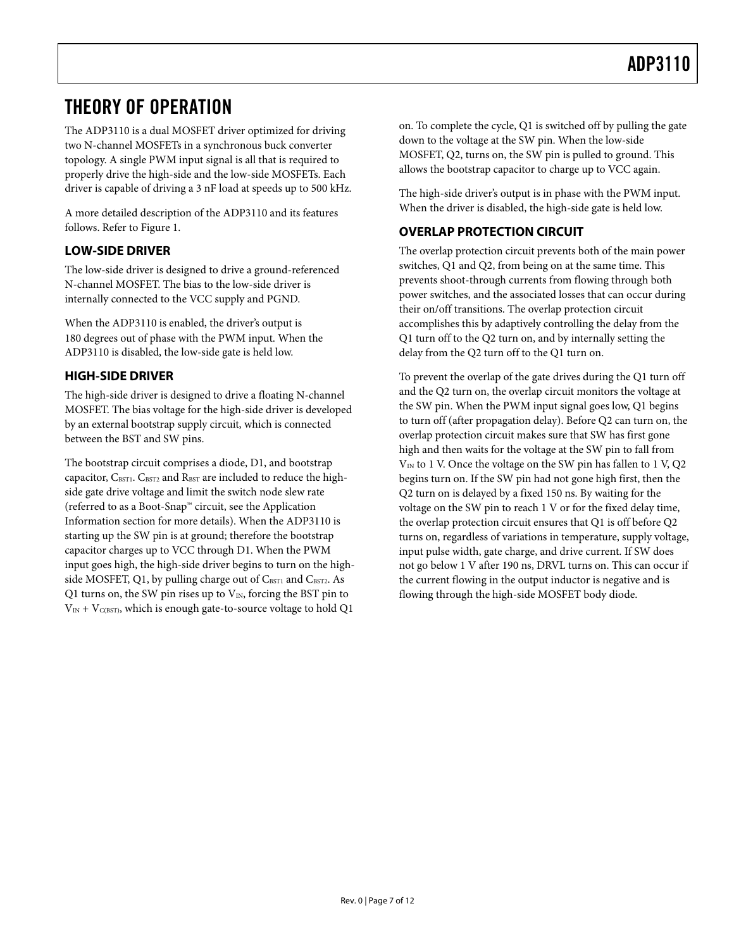### <span id="page-6-0"></span>THEORY OF OPERATION

The ADP3110 is a dual MOSFET driver optimized for driving two N-channel MOSFETs in a synchronous buck converter topology. A single PWM input signal is all that is required to properly drive the high-side and the low-side MOSFETs. Each driver is capable of driving a 3 nF load at speeds up to 500 kHz.

A more detailed description of the ADP3110 and its features follows. Refer to [Figure 1](#page-0-0).

### **LOW-SIDE DRIVER**

The low-side driver is designed to drive a ground-referenced N-channel MOSFET. The bias to the low-side driver is internally connected to the VCC supply and PGND.

When the ADP3110 is enabled, the driver's output is 180 degrees out of phase with the PWM input. When the ADP3110 is disabled, the low-side gate is held low.

### **HIGH-SIDE DRIVER**

The high-side driver is designed to drive a floating N-channel MOSFET. The bias voltage for the high-side driver is developed by an external bootstrap supply circuit, which is connected between the BST and SW pins.

The bootstrap circuit comprises a diode, D1, and bootstrap capacitor, CBST1. CBST2 and RBST are included to reduce the highside gate drive voltage and limit the switch node slew rate (referred to as a Boot-Snap™ circuit, see the [Application](#page-7-1)  [Information](#page-7-1) section for more details). When the ADP3110 is starting up the SW pin is at ground; therefore the bootstrap capacitor charges up to VCC through D1. When the PWM input goes high, the high-side driver begins to turn on the highside MOSFET, Q1, by pulling charge out of CBST1 and CBST2. As Q1 turns on, the SW pin rises up to  $V_{IN}$ , forcing the BST pin to  $V_{IN}$  +  $V_{C(BST)}$ , which is enough gate-to-source voltage to hold Q1

on. To complete the cycle, Q1 is switched off by pulling the gate down to the voltage at the SW pin. When the low-side MOSFET, Q2, turns on, the SW pin is pulled to ground. This allows the bootstrap capacitor to charge up to VCC again.

The high-side driver's output is in phase with the PWM input. When the driver is disabled, the high-side gate is held low.

### **OVERLAP PROTECTION CIRCUIT**

The overlap protection circuit prevents both of the main power switches, Q1 and Q2, from being on at the same time. This prevents shoot-through currents from flowing through both power switches, and the associated losses that can occur during their on/off transitions. The overlap protection circuit accomplishes this by adaptively controlling the delay from the Q1 turn off to the Q2 turn on, and by internally setting the delay from the Q2 turn off to the Q1 turn on.

To prevent the overlap of the gate drives during the Q1 turn off and the Q2 turn on, the overlap circuit monitors the voltage at the SW pin. When the PWM input signal goes low, Q1 begins to turn off (after propagation delay). Before Q2 can turn on, the overlap protection circuit makes sure that SW has first gone high and then waits for the voltage at the SW pin to fall from  $V_{IN}$  to 1 V. Once the voltage on the SW pin has fallen to 1 V, Q2 begins turn on. If the SW pin had not gone high first, then the Q2 turn on is delayed by a fixed 150 ns. By waiting for the voltage on the SW pin to reach 1 V or for the fixed delay time, the overlap protection circuit ensures that Q1 is off before Q2 turns on, regardless of variations in temperature, supply voltage, input pulse width, gate charge, and drive current. If SW does not go below 1 V after 190 ns, DRVL turns on. This can occur if the current flowing in the output inductor is negative and is flowing through the high-side MOSFET body diode.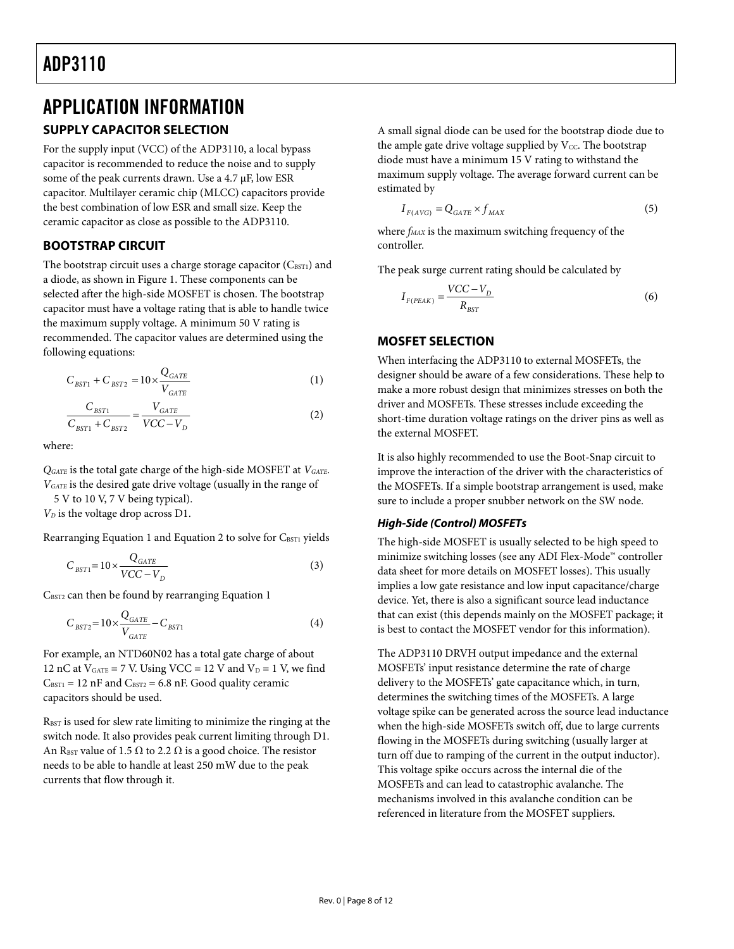### <span id="page-7-1"></span><span id="page-7-0"></span>APPLICATION INFORMATION **SUPPLY CAPACITOR SELECTION**

For the supply input (VCC) of the ADP3110, a local bypass capacitor is recommended to reduce the noise and to supply some of the peak currents drawn. Use a 4.7 μF, low ESR capacitor. Multilayer ceramic chip (MLCC) capacitors provide the best combination of low ESR and small size. Keep the ceramic capacitor as close as possible to the ADP3110.

### **BOOTSTRAP CIRCUIT**

The bootstrap circuit uses a charge storage capacitor  $(C_{\text{BST1}})$  and a diode, as shown in Figure 1. These components can be selected after the high-side MOSFET is chosen. The bootstrap capacitor must have a voltage rating that is able to handle twice the maximum supply voltage. A minimum 50 V rating is recommended. The capacitor values are determined using the following equations:

$$
C_{BST1} + C_{BST2} = 10 \times \frac{Q_{GATE}}{V_{GATE}}
$$
\n
$$
\tag{1}
$$

$$
\frac{C_{BST1}}{C_{BST1} + C_{BST2}} = \frac{V_{GATE}}{VCC - V_D}
$$
\n(2)

where:

*QGATE* is the total gate charge of the high-side MOSFET at *VGATE*. *VGATE* is the desired gate drive voltage (usually in the range of

5 V to 10 V, 7 V being typical).

*VD* is the voltage drop across D1.

Rearranging Equation 1 and Equation 2 to solve for CBST1 yields

$$
C_{BST1} = 10 \times \frac{Q_{GATE}}{VCC - V_D}
$$
\n(3)

 $C_{\text{BST2}}$  can then be found by rearranging Equation 1

$$
C_{BST2} = 10 \times \frac{Q_{GATE}}{V_{GATE}} - C_{BST1}
$$
\n
$$
\tag{4}
$$

For example, an NTD60N02 has a total gate charge of about 12 nC at  $V_{GATE} = 7$  V. Using VCC = 12 V and  $V_D = 1$  V, we find  $C_{\text{BST1}} = 12 \text{ nF}$  and  $C_{\text{BST2}} = 6.8 \text{ nF}$ . Good quality ceramic capacitors should be used.

RBST is used for slew rate limiting to minimize the ringing at the switch node. It also provides peak current limiting through D1. An RBST value of 1.5  $\Omega$  to 2.2  $\Omega$  is a good choice. The resistor needs to be able to handle at least 250 mW due to the peak currents that flow through it.

A small signal diode can be used for the bootstrap diode due to the ample gate drive voltage supplied by  $V_{CC}$ . The bootstrap diode must have a minimum 15 V rating to withstand the maximum supply voltage. The average forward current can be estimated by

$$
I_{F(AVG)} = Q_{GATE} \times f_{MAX}
$$
\n<sup>(5)</sup>

where  $f_{MAX}$  is the maximum switching frequency of the controller.

The peak surge current rating should be calculated by

$$
I_{F(PEAK)} = \frac{VCC - V_D}{R_{BST}}\tag{6}
$$

#### **MOSFET SELECTION**

When interfacing the ADP3110 to external MOSFETs, the designer should be aware of a few considerations. These help to make a more robust design that minimizes stresses on both the driver and MOSFETs. These stresses include exceeding the short-time duration voltage ratings on the driver pins as well as the external MOSFET.

It is also highly recommended to use the Boot-Snap circuit to improve the interaction of the driver with the characteristics of the MOSFETs. If a simple bootstrap arrangement is used, make sure to include a proper snubber network on the SW node.

#### **High-Side (Control) MOSFETs**

The high-side MOSFET is usually selected to be high speed to minimize switching losses (see any ADI Flex-Mode™ controller data sheet for more details on MOSFET losses). This usually implies a low gate resistance and low input capacitance/charge device. Yet, there is also a significant source lead inductance that can exist (this depends mainly on the MOSFET package; it is best to contact the MOSFET vendor for this information).

The ADP3110 DRVH output impedance and the external MOSFETs' input resistance determine the rate of charge delivery to the MOSFETs' gate capacitance which, in turn, determines the switching times of the MOSFETs. A large voltage spike can be generated across the source lead inductance when the high-side MOSFETs switch off, due to large currents flowing in the MOSFETs during switching (usually larger at turn off due to ramping of the current in the output inductor). This voltage spike occurs across the internal die of the MOSFETs and can lead to catastrophic avalanche. The mechanisms involved in this avalanche condition can be referenced in literature from the MOSFET suppliers.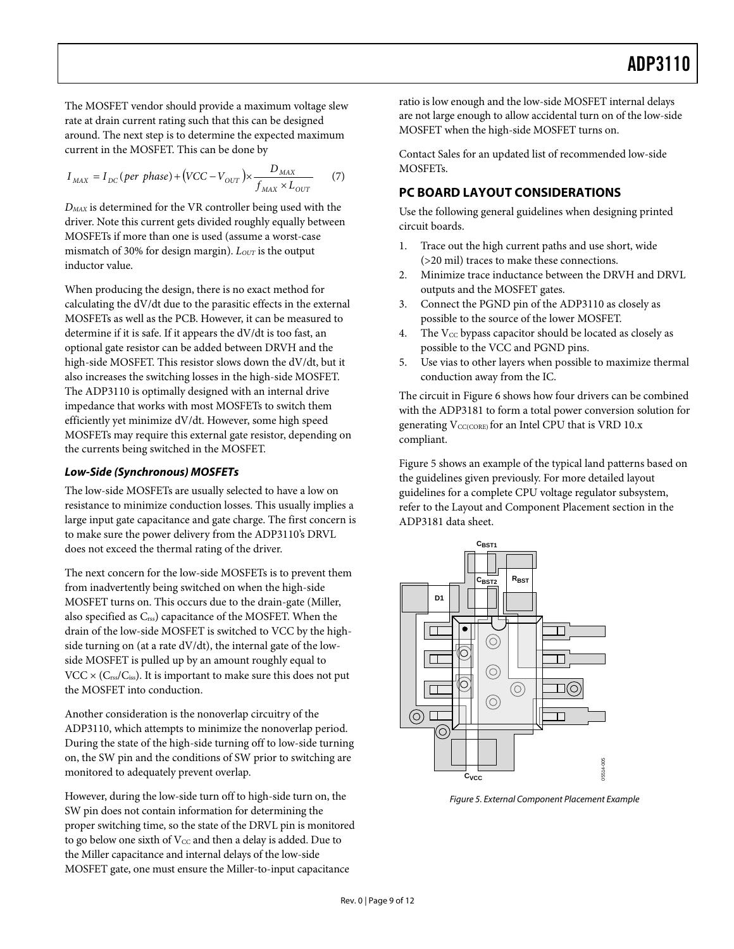<span id="page-8-0"></span>The MOSFET vendor should provide a maximum voltage slew rate at drain current rating such that this can be designed around. The next step is to determine the expected maximum current in the MOSFET. This can be done by

$$
I_{MAX} = I_{DC}(per phase) + (VCC - V_{OUT}) \times \frac{D_{MAX}}{f_{MAX} \times L_{OUT}}
$$
 (7)

*DMAX* is determined for the VR controller being used with the driver. Note this current gets divided roughly equally between MOSFETs if more than one is used (assume a worst-case mismatch of 30% for design margin).  $L_{OUT}$  is the output inductor value.

When producing the design, there is no exact method for calculating the dV/dt due to the parasitic effects in the external MOSFETs as well as the PCB. However, it can be measured to determine if it is safe. If it appears the dV/dt is too fast, an optional gate resistor can be added between DRVH and the high-side MOSFET. This resistor slows down the dV/dt, but it also increases the switching losses in the high-side MOSFET. The ADP3110 is optimally designed with an internal drive impedance that works with most MOSFETs to switch them efficiently yet minimize dV/dt. However, some high speed MOSFETs may require this external gate resistor, depending on the currents being switched in the MOSFET.

#### **Low-Side (Synchronous) MOSFETs**

The low-side MOSFETs are usually selected to have a low on resistance to minimize conduction losses. This usually implies a large input gate capacitance and gate charge. The first concern is to make sure the power delivery from the ADP3110's DRVL does not exceed the thermal rating of the driver.

The next concern for the low-side MOSFETs is to prevent them from inadvertently being switched on when the high-side MOSFET turns on. This occurs due to the drain-gate (Miller, also specified as  $C_{\text{rss}}$  capacitance of the MOSFET. When the drain of the low-side MOSFET is switched to VCC by the highside turning on (at a rate dV/dt), the internal gate of the lowside MOSFET is pulled up by an amount roughly equal to  $VCC \times (C_{\text{rss}}/C_{\text{iss}})$ . It is important to make sure this does not put the MOSFET into conduction.

Another consideration is the nonoverlap circuitry of the ADP3110, which attempts to minimize the nonoverlap period. During the state of the high-side turning off to low-side turning on, the SW pin and the conditions of SW prior to switching are monitored to adequately prevent overlap.

<span id="page-8-1"></span>However, during the low-side turn off to high-side turn on, the SW pin does not contain information for determining the proper switching time, so the state of the DRVL pin is monitored to go below one sixth of  $V_{CC}$  and then a delay is added. Due to the Miller capacitance and internal delays of the low-side MOSFET gate, one must ensure the Miller-to-input capacitance

ratio is low enough and the low-side MOSFET internal delays are not large enough to allow accidental turn on of the low-side MOSFET when the high-side MOSFET turns on.

Contact Sales for an updated list of recommended low-side MOSFETs.

### **PC BOARD LAYOUT CONSIDERATIONS**

Use the following general guidelines when designing printed circuit boards.

- 1. Trace out the high current paths and use short, wide (>20 mil) traces to make these connections.
- 2. Minimize trace inductance between the DRVH and DRVL outputs and the MOSFET gates.
- 3. Connect the PGND pin of the ADP3110 as closely as possible to the source of the lower MOSFET.
- 4. The  $V_{CC}$  bypass capacitor should be located as closely as possible to the VCC and PGND pins.
- 5. Use vias to other layers when possible to maximize thermal conduction away from the IC.

The circuit in [Figure 6](#page-9-0) shows how four drivers can be combined with the ADP3181 to form a total power conversion solution for generating  $V_{\text{CC(CORE)}}$  for an Intel CPU that is VRD 10.x compliant.

[Figure 5](#page-8-1) shows an example of the typical land patterns based on the guidelines given previously. For more detailed layout guidelines for a complete CPU voltage regulator subsystem, refer to the Layout and Component Placement section in the ADP3181 data sheet.



Figure 5. External Component Placement Example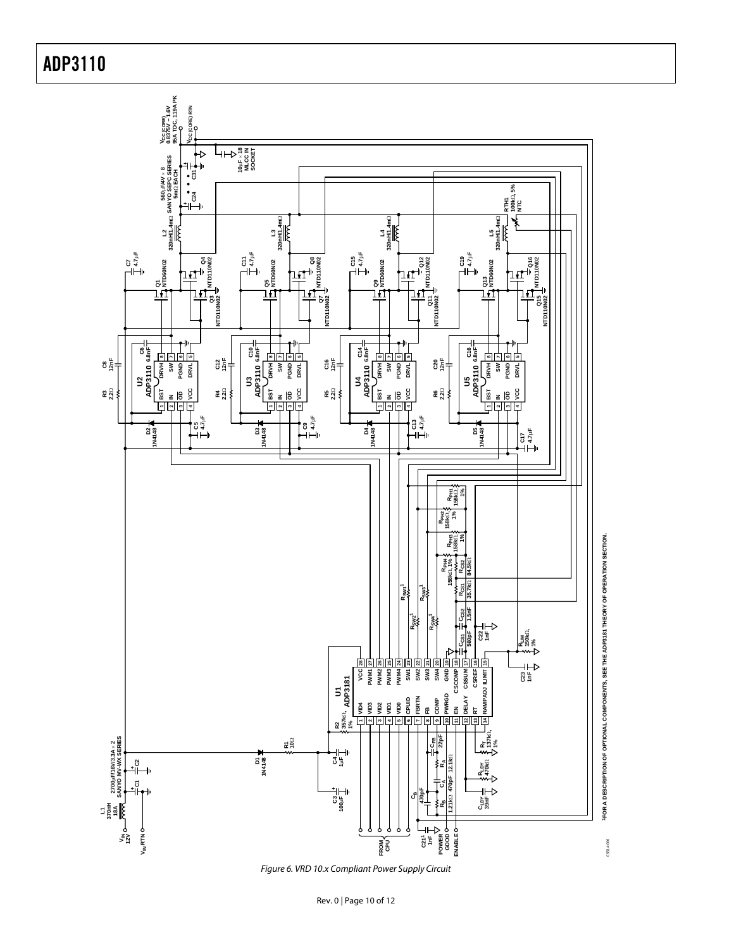

<span id="page-9-0"></span>Figure 6. VRD 10.x Compliant Power Supply Circuit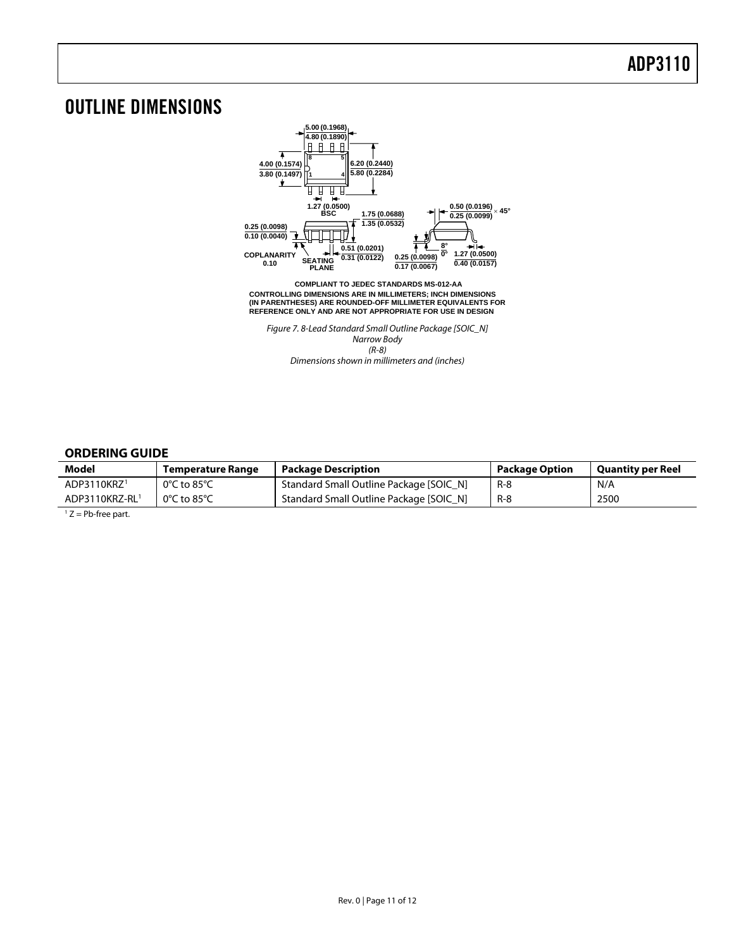### <span id="page-10-0"></span>OUTLINE DIMENSIONS



(R-8) Dimensions shown in millimeters and (inches)

#### **ORDERING GUIDE**

<span id="page-10-1"></span>

| Model                   | Temperature Range | <b>Package Description</b>              | <b>Package Option</b> | <b>Quantity per Reel</b> |
|-------------------------|-------------------|-----------------------------------------|-----------------------|--------------------------|
| ADP3110KRZ <sup>1</sup> | 0°C to 85°C       | Standard Small Outline Package [SOIC_N] | R-8                   | N/A                      |
| ADP3110KRZ-RL1          | 0°C to 85°C       | Standard Small Outline Package [SOIC_N] | R-8                   | 2500                     |

 $1 Z = Pb$ -free part.